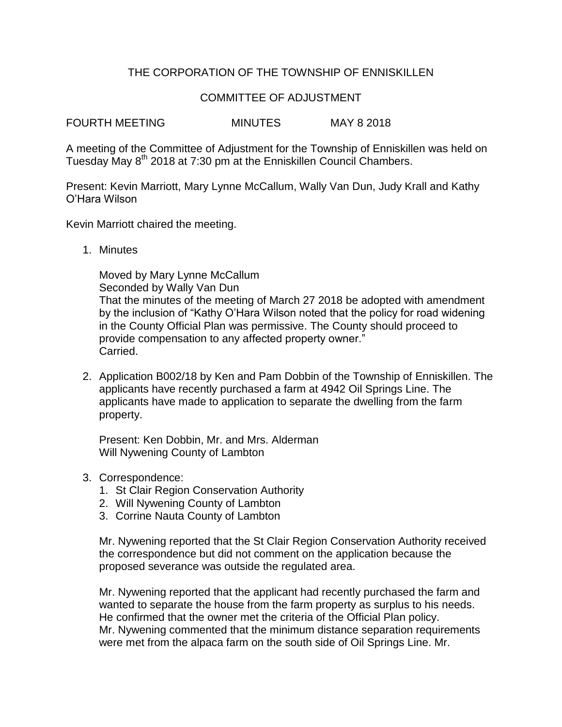## THE CORPORATION OF THE TOWNSHIP OF ENNISKILLEN

## COMMITTEE OF ADJUSTMENT

FOURTH MEETING MINUTES MAY 8 2018

A meeting of the Committee of Adjustment for the Township of Enniskillen was held on Tuesday May 8<sup>th</sup> 2018 at 7:30 pm at the Enniskillen Council Chambers.

Present: Kevin Marriott, Mary Lynne McCallum, Wally Van Dun, Judy Krall and Kathy O'Hara Wilson

Kevin Marriott chaired the meeting.

1. Minutes

Moved by Mary Lynne McCallum Seconded by Wally Van Dun That the minutes of the meeting of March 27 2018 be adopted with amendment by the inclusion of "Kathy O'Hara Wilson noted that the policy for road widening in the County Official Plan was permissive. The County should proceed to provide compensation to any affected property owner." Carried.

2. Application B002/18 by Ken and Pam Dobbin of the Township of Enniskillen. The applicants have recently purchased a farm at 4942 Oil Springs Line. The applicants have made to application to separate the dwelling from the farm property.

Present: Ken Dobbin, Mr. and Mrs. Alderman Will Nywening County of Lambton

- 3. Correspondence:
	- 1. St Clair Region Conservation Authority
	- 2. Will Nywening County of Lambton
	- 3. Corrine Nauta County of Lambton

Mr. Nywening reported that the St Clair Region Conservation Authority received the correspondence but did not comment on the application because the proposed severance was outside the regulated area.

Mr. Nywening reported that the applicant had recently purchased the farm and wanted to separate the house from the farm property as surplus to his needs. He confirmed that the owner met the criteria of the Official Plan policy. Mr. Nywening commented that the minimum distance separation requirements were met from the alpaca farm on the south side of Oil Springs Line. Mr.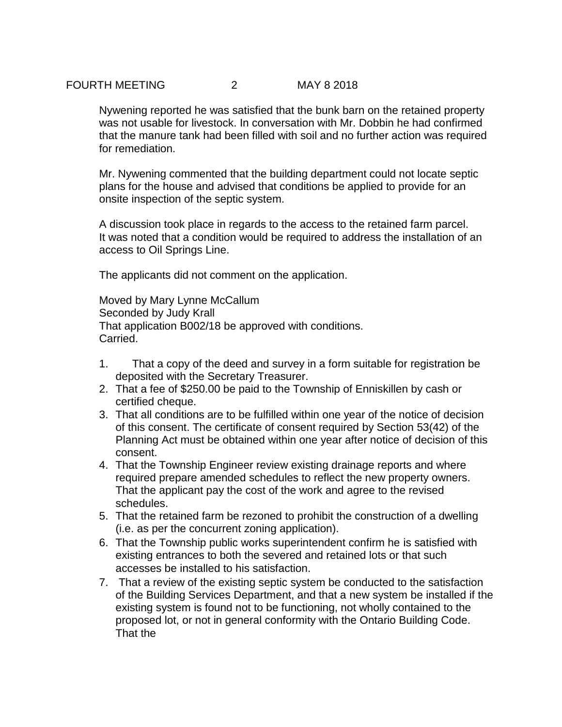Nywening reported he was satisfied that the bunk barn on the retained property was not usable for livestock. In conversation with Mr. Dobbin he had confirmed that the manure tank had been filled with soil and no further action was required for remediation.

Mr. Nywening commented that the building department could not locate septic plans for the house and advised that conditions be applied to provide for an onsite inspection of the septic system.

A discussion took place in regards to the access to the retained farm parcel. It was noted that a condition would be required to address the installation of an access to Oil Springs Line.

The applicants did not comment on the application.

Moved by Mary Lynne McCallum Seconded by Judy Krall That application B002/18 be approved with conditions. Carried.

- 1. That a copy of the deed and survey in a form suitable for registration be deposited with the Secretary Treasurer.
- 2. That a fee of \$250.00 be paid to the Township of Enniskillen by cash or certified cheque.
- 3. That all conditions are to be fulfilled within one year of the notice of decision of this consent. The certificate of consent required by Section 53(42) of the Planning Act must be obtained within one year after notice of decision of this consent.
- 4. That the Township Engineer review existing drainage reports and where required prepare amended schedules to reflect the new property owners. That the applicant pay the cost of the work and agree to the revised schedules.
- 5. That the retained farm be rezoned to prohibit the construction of a dwelling (i.e. as per the concurrent zoning application).
- 6. That the Township public works superintendent confirm he is satisfied with existing entrances to both the severed and retained lots or that such accesses be installed to his satisfaction.
- 7. That a review of the existing septic system be conducted to the satisfaction of the Building Services Department, and that a new system be installed if the existing system is found not to be functioning, not wholly contained to the proposed lot, or not in general conformity with the Ontario Building Code. That the